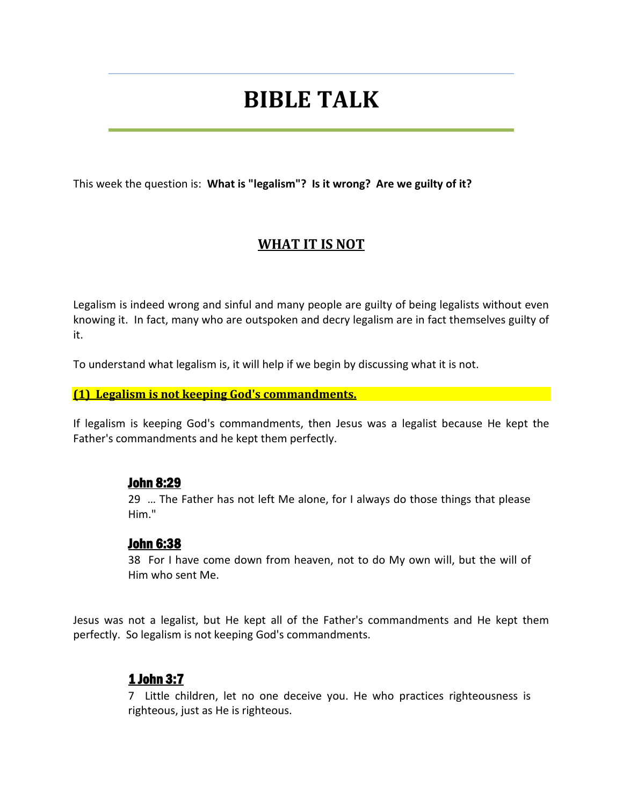# **BIBLE TALK**

This week the question is: **What is "legalism"? Is it wrong? Are we guilty of it?**

# **WHAT IT IS NOT**

Legalism is indeed wrong and sinful and many people are guilty of being legalists without even knowing it. In fact, many who are outspoken and decry legalism are in fact themselves guilty of it.

To understand what legalism is, it will help if we begin by discussing what it is not.

#### **(1) Legalism is not keeping God's commandments.**

If legalism is keeping God's commandments, then Jesus was a legalist because He kept the Father's commandments and he kept them perfectly.

#### John 8:29

29 … The Father has not left Me alone, for I always do those things that please Him."

#### John 6:38

38 For I have come down from heaven, not to do My own will, but the will of Him who sent Me.

Jesus was not a legalist, but He kept all of the Father's commandments and He kept them perfectly. So legalism is not keeping God's commandments.

# 1 John 3:7

7 Little children, let no one deceive you. He who practices righteousness is righteous, just as He is righteous.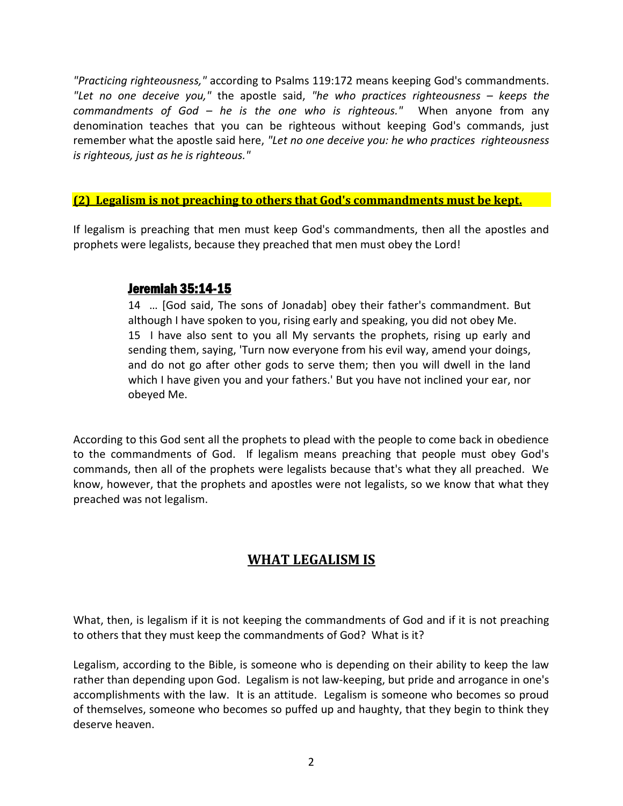*"Practicing righteousness,"* according to Psalms 119:172 means keeping God's commandments. *"Let no one deceive you,"* the apostle said, *"he who practices righteousness – keeps the commandments of God – he is the one who is righteous."* When anyone from any denomination teaches that you can be righteous without keeping God's commands, just remember what the apostle said here, *"Let no one deceive you: he who practices righteousness is righteous, just as he is righteous."*

#### **(2) Legalism is not preaching to others that God's commandments must be kept.**

If legalism is preaching that men must keep God's commandments, then all the apostles and prophets were legalists, because they preached that men must obey the Lord!

### Jeremiah 35:14-15

14 … [God said, The sons of Jonadab] obey their father's commandment. But although I have spoken to you, rising early and speaking, you did not obey Me. 15 I have also sent to you all My servants the prophets, rising up early and sending them, saying, 'Turn now everyone from his evil way, amend your doings, and do not go after other gods to serve them; then you will dwell in the land which I have given you and your fathers.' But you have not inclined your ear, nor obeyed Me.

According to this God sent all the prophets to plead with the people to come back in obedience to the commandments of God. If legalism means preaching that people must obey God's commands, then all of the prophets were legalists because that's what they all preached. We know, however, that the prophets and apostles were not legalists, so we know that what they preached was not legalism.

# **WHAT LEGALISM IS**

What, then, is legalism if it is not keeping the commandments of God and if it is not preaching to others that they must keep the commandments of God? What is it?

Legalism, according to the Bible, is someone who is depending on their ability to keep the law rather than depending upon God. Legalism is not law-keeping, but pride and arrogance in one's accomplishments with the law. It is an attitude. Legalism is someone who becomes so proud of themselves, someone who becomes so puffed up and haughty, that they begin to think they deserve heaven.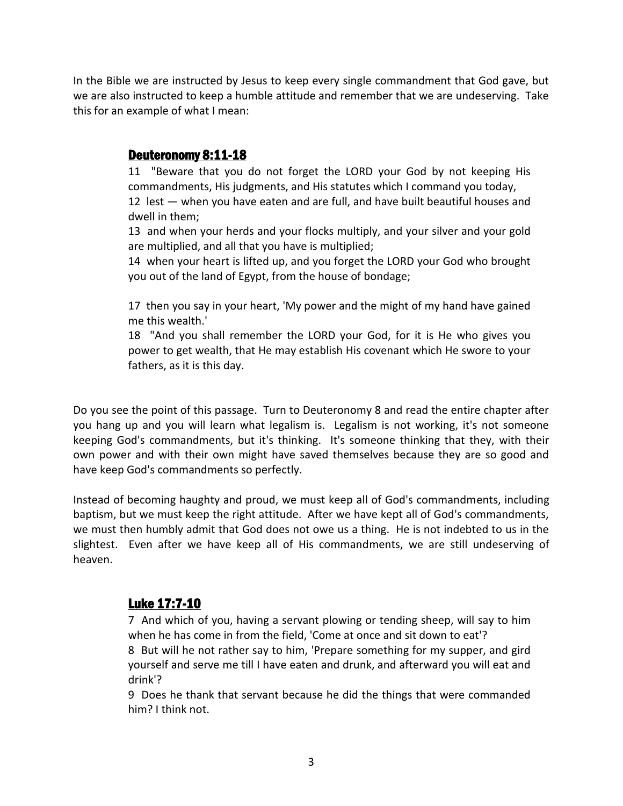In the Bible we are instructed by Jesus to keep every single commandment that God gave, but we are also instructed to keep a humble attitude and remember that we are undeserving. Take this for an example of what I mean:

## Deuteronomy 8:11-18

11 "Beware that you do not forget the LORD your God by not keeping His commandments, His judgments, and His statutes which I command you today, 12 lest — when you have eaten and are full, and have built beautiful houses and

dwell in them;

13 and when your herds and your flocks multiply, and your silver and your gold are multiplied, and all that you have is multiplied;

14 when your heart is lifted up, and you forget the LORD your God who brought you out of the land of Egypt, from the house of bondage;

17 then you say in your heart, 'My power and the might of my hand have gained me this wealth.'

18 "And you shall remember the LORD your God, for it is He who gives you power to get wealth, that He may establish His covenant which He swore to your fathers, as it is this day.

Do you see the point of this passage. Turn to Deuteronomy 8 and read the entire chapter after you hang up and you will learn what legalism is. Legalism is not working, it's not someone keeping God's commandments, but it's thinking. It's someone thinking that they, with their own power and with their own might have saved themselves because they are so good and have keep God's commandments so perfectly.

Instead of becoming haughty and proud, we must keep all of God's commandments, including baptism, but we must keep the right attitude. After we have kept all of God's commandments, we must then humbly admit that God does not owe us a thing. He is not indebted to us in the slightest. Even after we have keep all of His commandments, we are still undeserving of heaven.

## Luke 17:7-10

7 And which of you, having a servant plowing or tending sheep, will say to him when he has come in from the field, 'Come at once and sit down to eat'?

8 But will he not rather say to him, 'Prepare something for my supper, and gird yourself and serve me till I have eaten and drunk, and afterward you will eat and drink'?

9 Does he thank that servant because he did the things that were commanded him? I think not.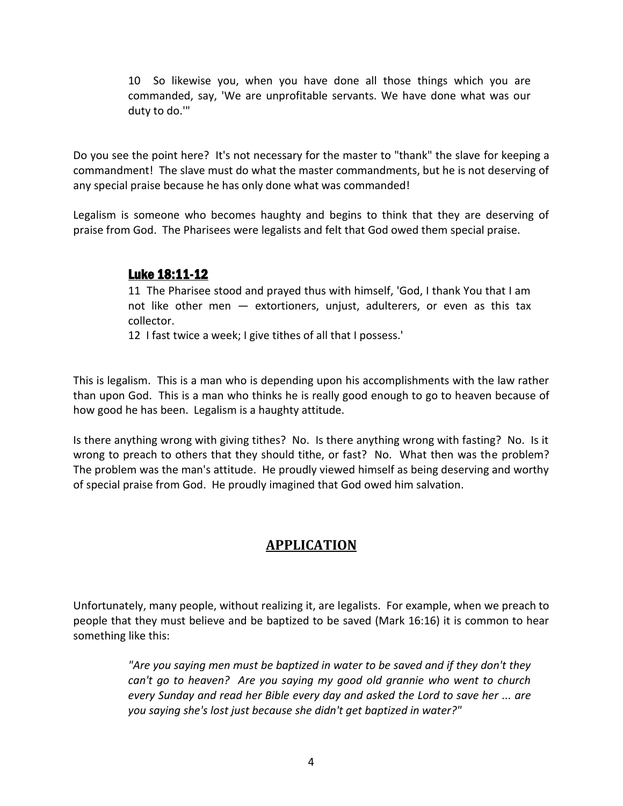10 So likewise you, when you have done all those things which you are commanded, say, 'We are unprofitable servants. We have done what was our duty to do.'"

Do you see the point here? It's not necessary for the master to "thank" the slave for keeping a commandment! The slave must do what the master commandments, but he is not deserving of any special praise because he has only done what was commanded!

Legalism is someone who becomes haughty and begins to think that they are deserving of praise from God. The Pharisees were legalists and felt that God owed them special praise.

# Luke 18:11-12

11 The Pharisee stood and prayed thus with himself, 'God, I thank You that I am not like other men — extortioners, unjust, adulterers, or even as this tax collector.

12 I fast twice a week; I give tithes of all that I possess.'

This is legalism. This is a man who is depending upon his accomplishments with the law rather than upon God. This is a man who thinks he is really good enough to go to heaven because of how good he has been. Legalism is a haughty attitude.

Is there anything wrong with giving tithes? No. Is there anything wrong with fasting? No. Is it wrong to preach to others that they should tithe, or fast? No. What then was the problem? The problem was the man's attitude. He proudly viewed himself as being deserving and worthy of special praise from God. He proudly imagined that God owed him salvation.

# **APPLICATION**

Unfortunately, many people, without realizing it, are legalists. For example, when we preach to people that they must believe and be baptized to be saved (Mark 16:16) it is common to hear something like this:

> *"Are you saying men must be baptized in water to be saved and if they don't they can't go to heaven? Are you saying my good old grannie who went to church every Sunday and read her Bible every day and asked the Lord to save her ... are you saying she's lost just because she didn't get baptized in water?"*